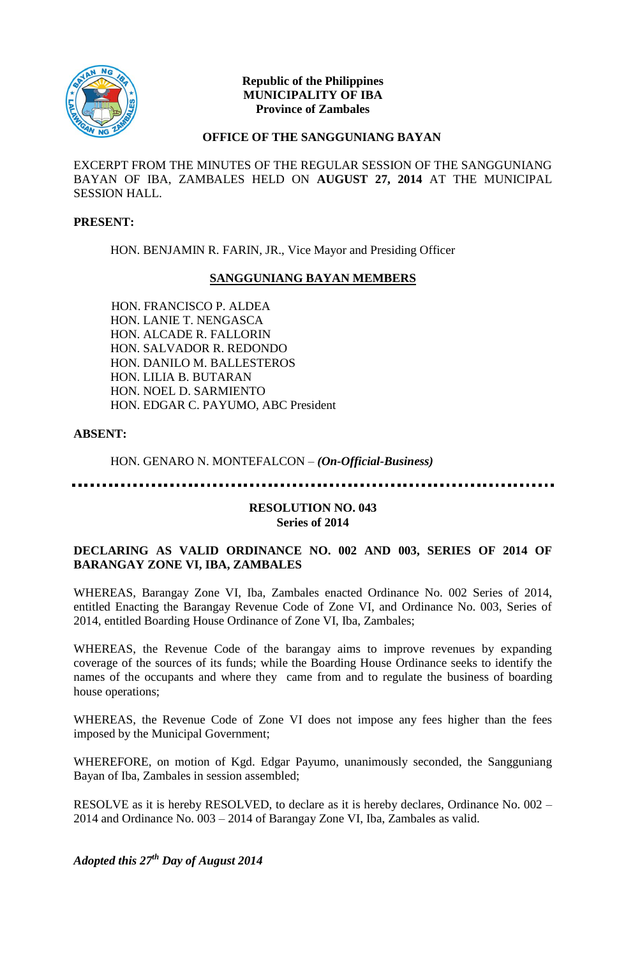

### **Republic of the Philippines MUNICIPALITY OF IBA Province of Zambales**

### **OFFICE OF THE SANGGUNIANG BAYAN**

EXCERPT FROM THE MINUTES OF THE REGULAR SESSION OF THE SANGGUNIANG BAYAN OF IBA, ZAMBALES HELD ON **AUGUST 27, 2014** AT THE MUNICIPAL SESSION HALL.

#### **PRESENT:**

HON. BENJAMIN R. FARIN, JR., Vice Mayor and Presiding Officer

# **SANGGUNIANG BAYAN MEMBERS**

HON. FRANCISCO P. ALDEA HON. LANIE T. NENGASCA HON. ALCADE R. FALLORIN HON. SALVADOR R. REDONDO HON. DANILO M. BALLESTEROS HON. LILIA B. BUTARAN HON. NOEL D. SARMIENTO HON. EDGAR C. PAYUMO, ABC President

# **ABSENT:**

HON. GENARO N. MONTEFALCON – *(On-Official-Business)*

### **RESOLUTION NO. 043 Series of 2014**

# **DECLARING AS VALID ORDINANCE NO. 002 AND 003, SERIES OF 2014 OF BARANGAY ZONE VI, IBA, ZAMBALES**

WHEREAS, Barangay Zone VI, Iba, Zambales enacted Ordinance No. 002 Series of 2014, entitled Enacting the Barangay Revenue Code of Zone VI, and Ordinance No. 003, Series of 2014, entitled Boarding House Ordinance of Zone VI, Iba, Zambales;

WHEREAS, the Revenue Code of the barangay aims to improve revenues by expanding coverage of the sources of its funds; while the Boarding House Ordinance seeks to identify the names of the occupants and where they came from and to regulate the business of boarding house operations;

WHEREAS, the Revenue Code of Zone VI does not impose any fees higher than the fees imposed by the Municipal Government;

WHEREFORE, on motion of Kgd. Edgar Payumo, unanimously seconded, the Sangguniang Bayan of Iba, Zambales in session assembled;

RESOLVE as it is hereby RESOLVED, to declare as it is hereby declares, Ordinance No. 002 – 2014 and Ordinance No. 003 – 2014 of Barangay Zone VI, Iba, Zambales as valid.

*Adopted this 27th Day of August 2014*